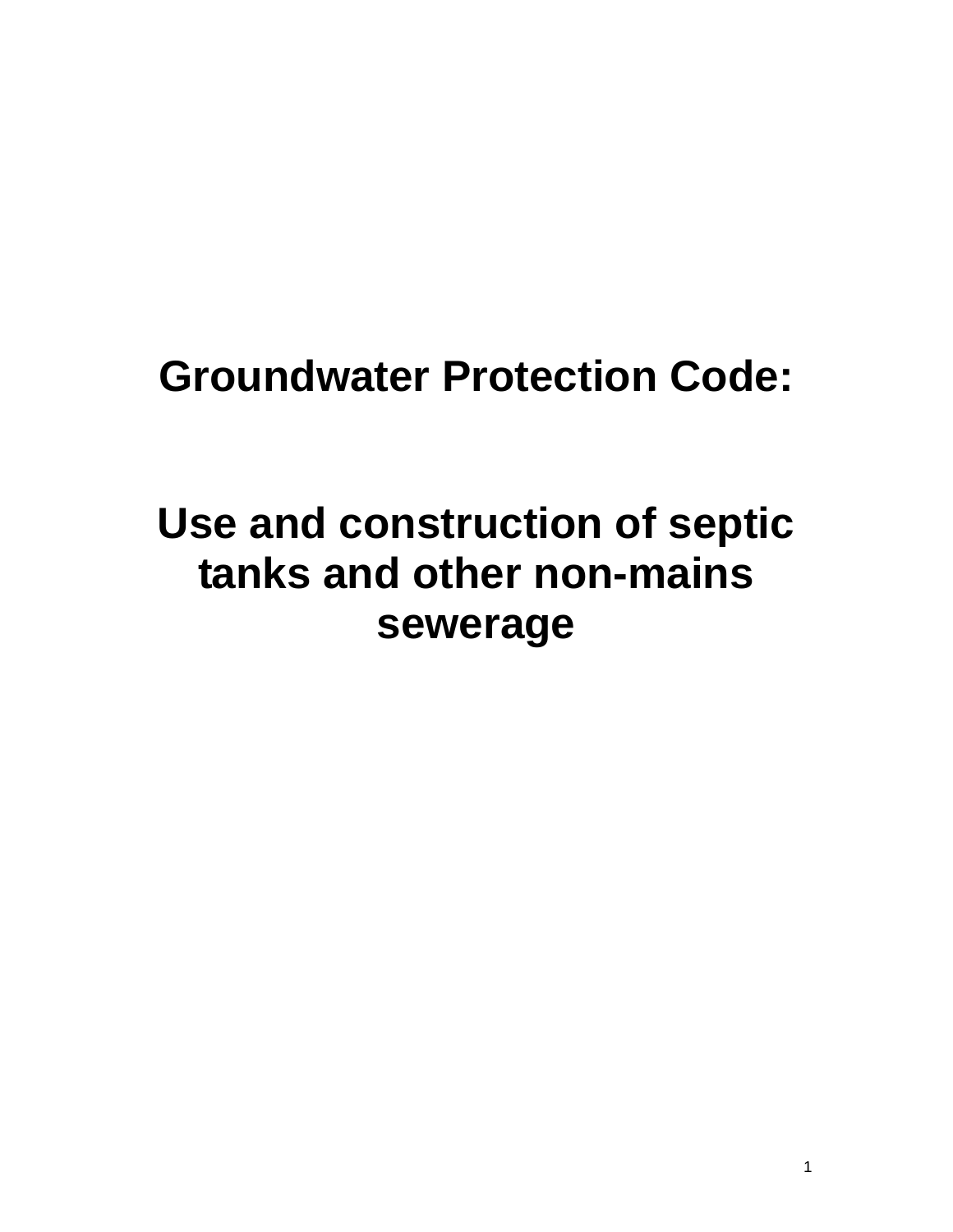# **Groundwater Protection Code:**

# **Use and construction of septic tanks and other non-mains sewerage**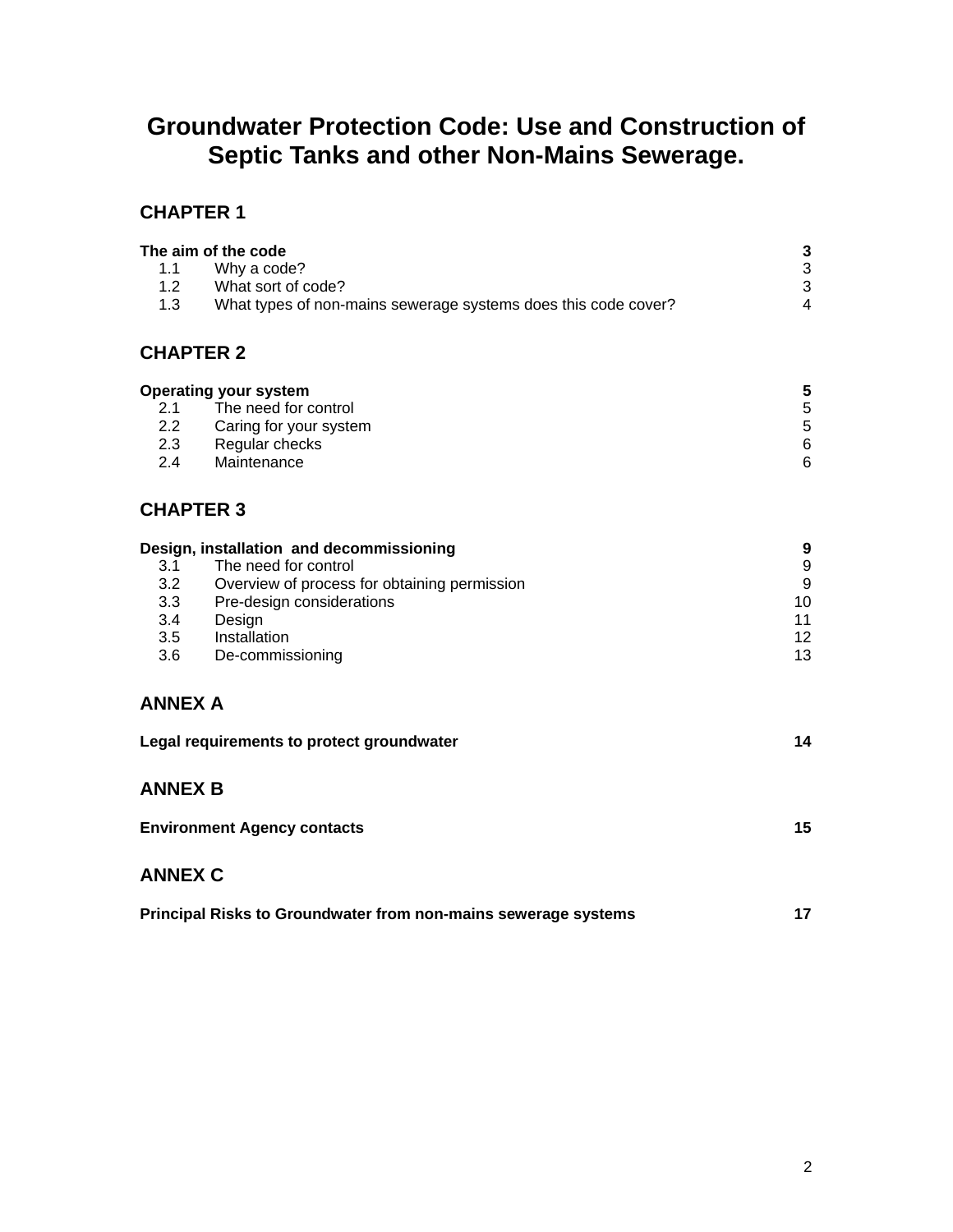## **Groundwater Protection Code: Use and Construction of Septic Tanks and other Non-Mains Sewerage.**

#### **CHAPTER 1**

| 1.1<br>1.2<br>1.3 | The aim of the code<br>Why a code?<br>What sort of code?<br>What types of non-mains sewerage systems does this code cover? | 3<br>3<br>3<br>4 |
|-------------------|----------------------------------------------------------------------------------------------------------------------------|------------------|
| <b>CHAPTER 2</b>  |                                                                                                                            |                  |
|                   | <b>Operating your system</b>                                                                                               | 5                |
| 2.1               | The need for control                                                                                                       | 5                |
| $2.2^{\circ}$     | Caring for your system                                                                                                     | 5                |
| 2.3               | Regular checks                                                                                                             | 6                |

| 2.4 | Maintenance |  |
|-----|-------------|--|
|     |             |  |

#### **CHAPTER 3**

| Design, installation and decommissioning | 9                                            |                 |
|------------------------------------------|----------------------------------------------|-----------------|
| 3.1                                      | The need for control                         | 9               |
| 3.2 <sub>2</sub>                         | Overview of process for obtaining permission | 9               |
| 3.3                                      | Pre-design considerations                    | 10              |
| 3.4                                      | Design                                       | 11              |
| 3.5                                      | Installation                                 | 12 <sup>2</sup> |
| 3.6                                      | De-commissioning                             | 13              |

#### **ANNEX A**

| Legal requirements to protect groundwater |  |
|-------------------------------------------|--|
|                                           |  |

#### **ANNEX B**

| <b>Environment Agency contacts</b> |  |
|------------------------------------|--|
|                                    |  |

#### **ANNEX C**

|  | Principal Risks to Groundwater from non-mains sewerage systems |  |
|--|----------------------------------------------------------------|--|
|--|----------------------------------------------------------------|--|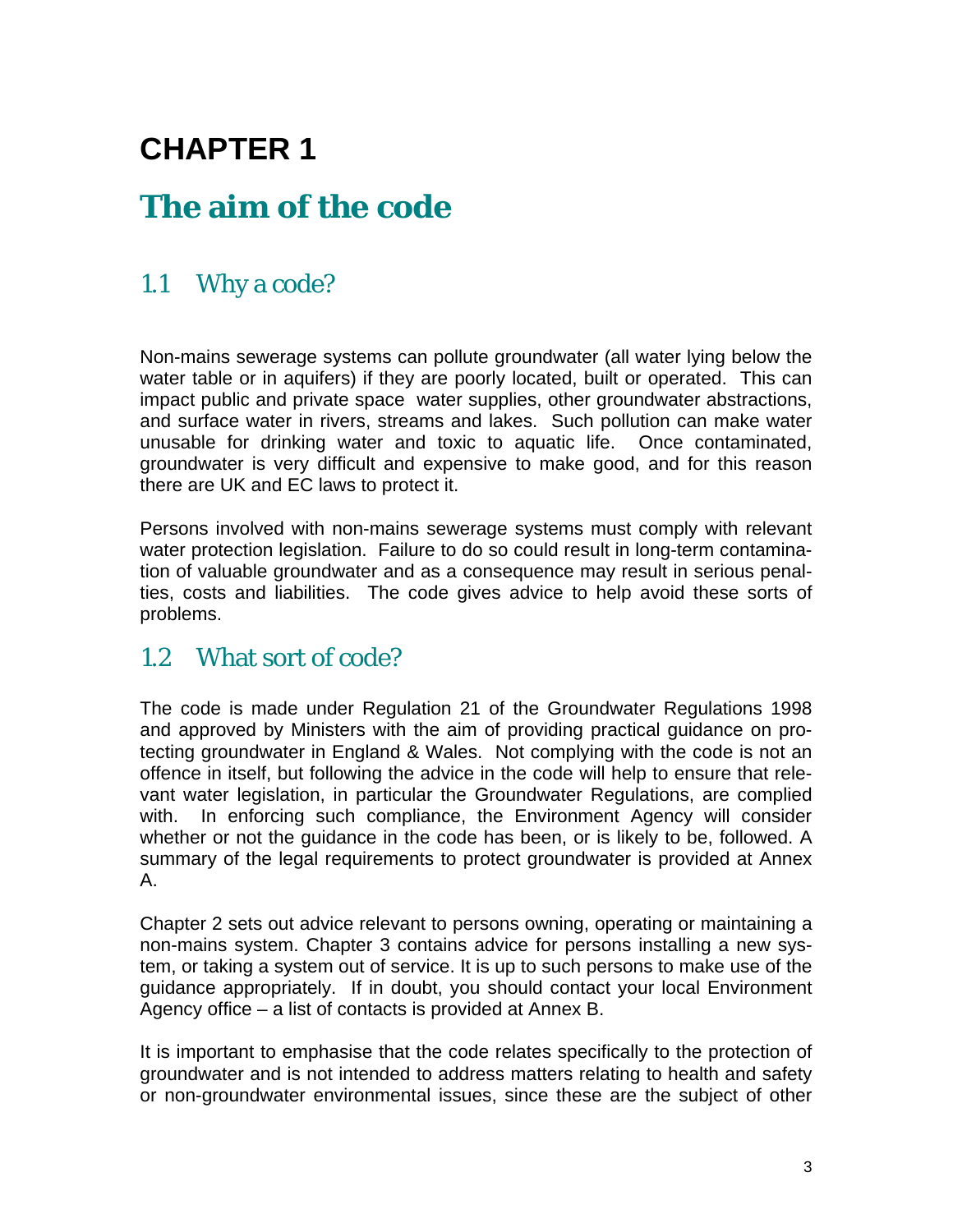## **CHAPTER 1**

## **The aim of the code**

## 1.1 Why a code?

Non-mains sewerage systems can pollute groundwater (all water lying below the water table or in aquifers) if they are poorly located, built or operated. This can impact public and private space water supplies, other groundwater abstractions, and surface water in rivers, streams and lakes. Such pollution can make water unusable for drinking water and toxic to aquatic life. Once contaminated, groundwater is very difficult and expensive to make good, and for this reason there are UK and EC laws to protect it.

Persons involved with non-mains sewerage systems must comply with relevant water protection legislation. Failure to do so could result in long-term contamination of valuable groundwater and as a consequence may result in serious penalties, costs and liabilities. The code gives advice to help avoid these sorts of problems.

### 1.2 What sort of code?

The code is made under Regulation 21 of the Groundwater Regulations 1998 and approved by Ministers with the aim of providing practical guidance on protecting groundwater in England & Wales. Not complying with the code is not an offence in itself, but following the advice in the code will help to ensure that relevant water legislation, in particular the Groundwater Regulations, are complied with. In enforcing such compliance, the Environment Agency will consider whether or not the guidance in the code has been, or is likely to be, followed. A summary of the legal requirements to protect groundwater is provided at Annex A.

Chapter 2 sets out advice relevant to persons owning, operating or maintaining a non-mains system. Chapter 3 contains advice for persons installing a new system, or taking a system out of service. It is up to such persons to make use of the guidance appropriately. If in doubt, you should contact your local Environment Agency office – a list of contacts is provided at Annex B.

It is important to emphasise that the code relates specifically to the protection of groundwater and is not intended to address matters relating to health and safety or non-groundwater environmental issues, since these are the subject of other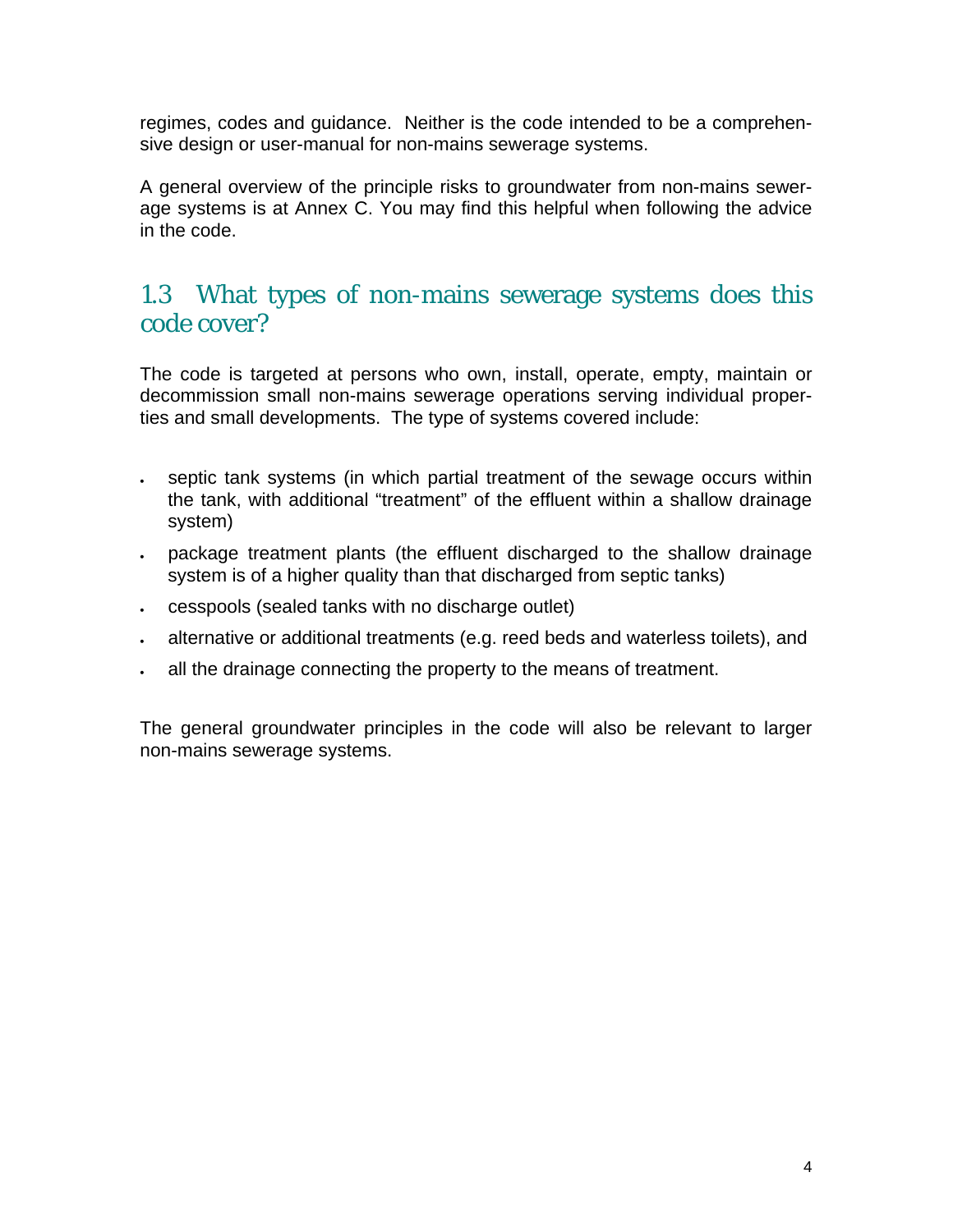regimes, codes and guidance. Neither is the code intended to be a comprehensive design or user-manual for non-mains sewerage systems.

A general overview of the principle risks to groundwater from non-mains sewerage systems is at Annex C. You may find this helpful when following the advice in the code.

### 1.3 What types of non-mains sewerage systems does this code cover?

The code is targeted at persons who own, install, operate, empty, maintain or decommission small non-mains sewerage operations serving individual properties and small developments. The type of systems covered include:

- septic tank systems (in which partial treatment of the sewage occurs within the tank, with additional "treatment" of the effluent within a shallow drainage system)
- package treatment plants (the effluent discharged to the shallow drainage system is of a higher quality than that discharged from septic tanks)
- cesspools (sealed tanks with no discharge outlet)
- alternative or additional treatments (e.g. reed beds and waterless toilets), and
- all the drainage connecting the property to the means of treatment.

The general groundwater principles in the code will also be relevant to larger non-mains sewerage systems.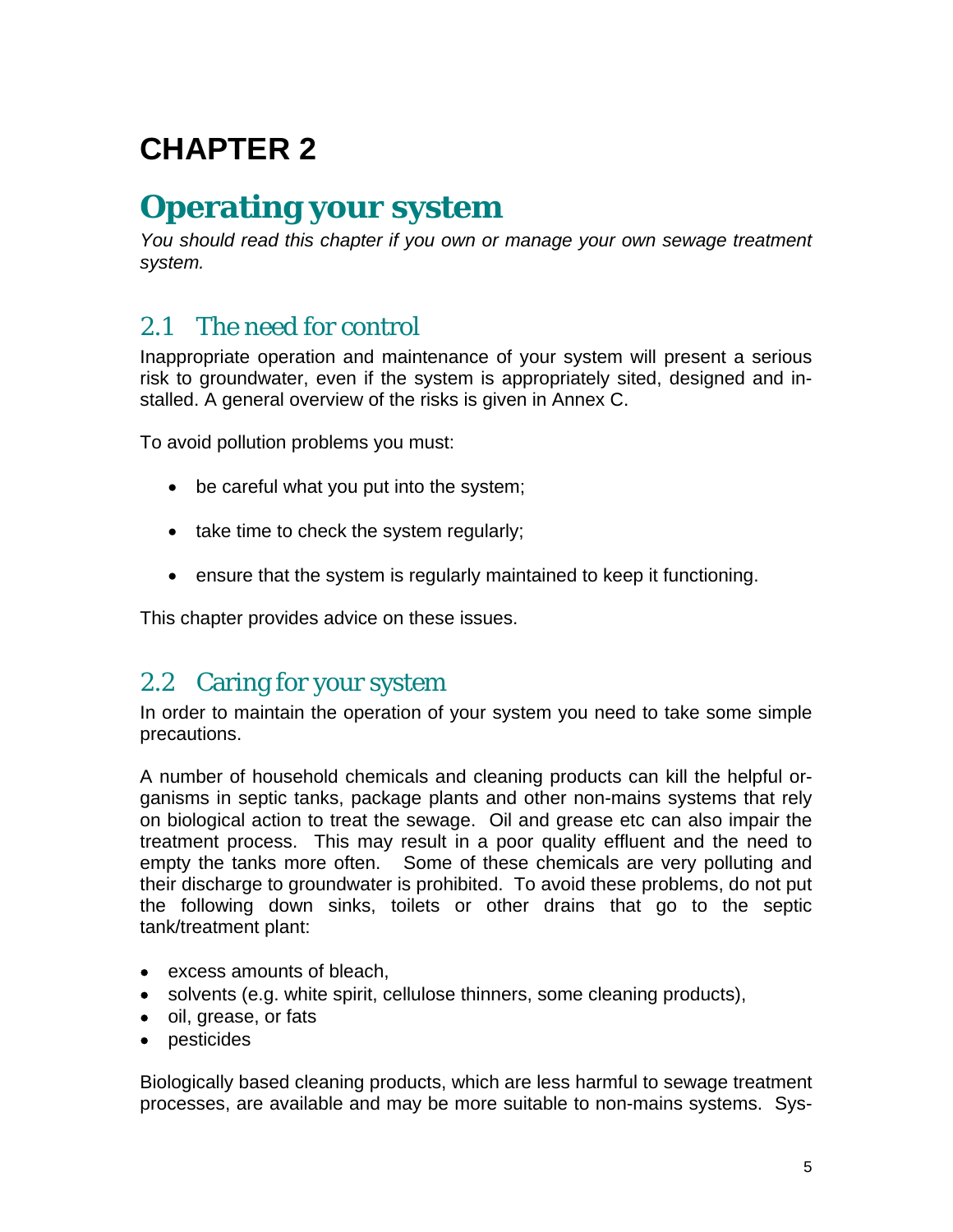## **CHAPTER 2**

## **Operating your system**

*You should read this chapter if you own or manage your own sewage treatment system.* 

### 2.1 The need for control

Inappropriate operation and maintenance of your system will present a serious risk to groundwater, even if the system is appropriately sited, designed and installed. A general overview of the risks is given in Annex C.

To avoid pollution problems you must:

- be careful what you put into the system;
- take time to check the system regularly;
- ensure that the system is regularly maintained to keep it functioning.

This chapter provides advice on these issues.

### 2.2 Caring for your system

In order to maintain the operation of your system you need to take some simple precautions.

A number of household chemicals and cleaning products can kill the helpful organisms in septic tanks, package plants and other non-mains systems that rely on biological action to treat the sewage. Oil and grease etc can also impair the treatment process. This may result in a poor quality effluent and the need to empty the tanks more often. Some of these chemicals are very polluting and their discharge to groundwater is prohibited. To avoid these problems, do not put the following down sinks, toilets or other drains that go to the septic tank/treatment plant:

- excess amounts of bleach,
- solvents (e.g. white spirit, cellulose thinners, some cleaning products),
- oil, grease, or fats
- pesticides

Biologically based cleaning products, which are less harmful to sewage treatment processes, are available and may be more suitable to non-mains systems. Sys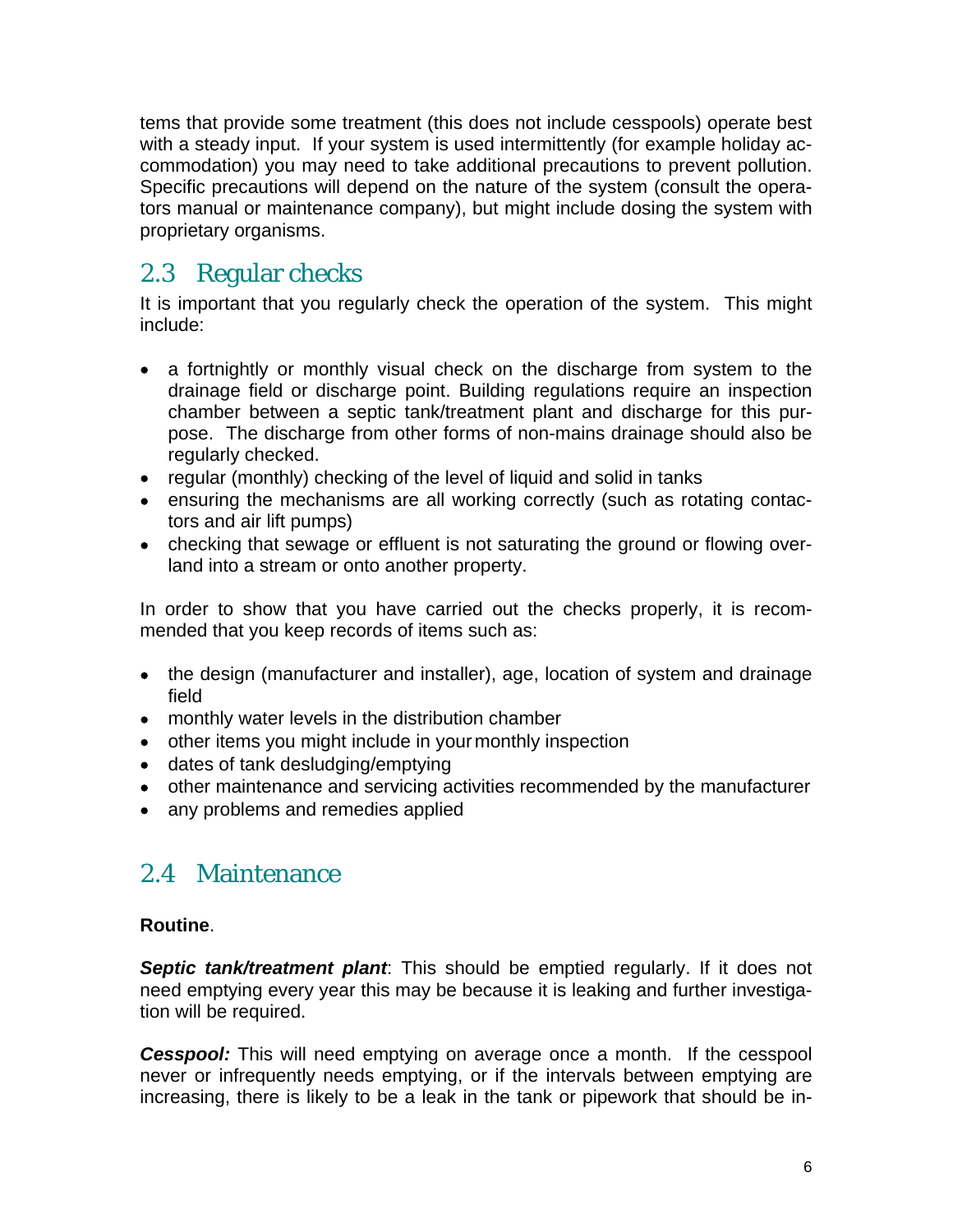tems that provide some treatment (this does not include cesspools) operate best with a steady input. If your system is used intermittently (for example holiday accommodation) you may need to take additional precautions to prevent pollution. Specific precautions will depend on the nature of the system (consult the operators manual or maintenance company), but might include dosing the system with proprietary organisms.

## 2.3 Regular checks

It is important that you regularly check the operation of the system. This might include:

- a fortnightly or monthly visual check on the discharge from system to the drainage field or discharge point. Building regulations require an inspection chamber between a septic tank/treatment plant and discharge for this purpose. The discharge from other forms of non-mains drainage should also be regularly checked.
- regular (monthly) checking of the level of liquid and solid in tanks
- ensuring the mechanisms are all working correctly (such as rotating contactors and air lift pumps)
- checking that sewage or effluent is not saturating the ground or flowing overland into a stream or onto another property.

In order to show that you have carried out the checks properly, it is recommended that you keep records of items such as:

- the design (manufacturer and installer), age, location of system and drainage field
- monthly water levels in the distribution chamber
- other items you might include in your monthly inspection
- dates of tank desludging/emptying
- other maintenance and servicing activities recommended by the manufacturer
- any problems and remedies applied

### 2.4 Maintenance

#### **Routine**.

*Septic tank/treatment plant*: This should be emptied regularly. If it does not need emptying every year this may be because it is leaking and further investigation will be required.

**Cesspool:** This will need emptying on average once a month. If the cesspool never or infrequently needs emptying, or if the intervals between emptying are increasing, there is likely to be a leak in the tank or pipework that should be in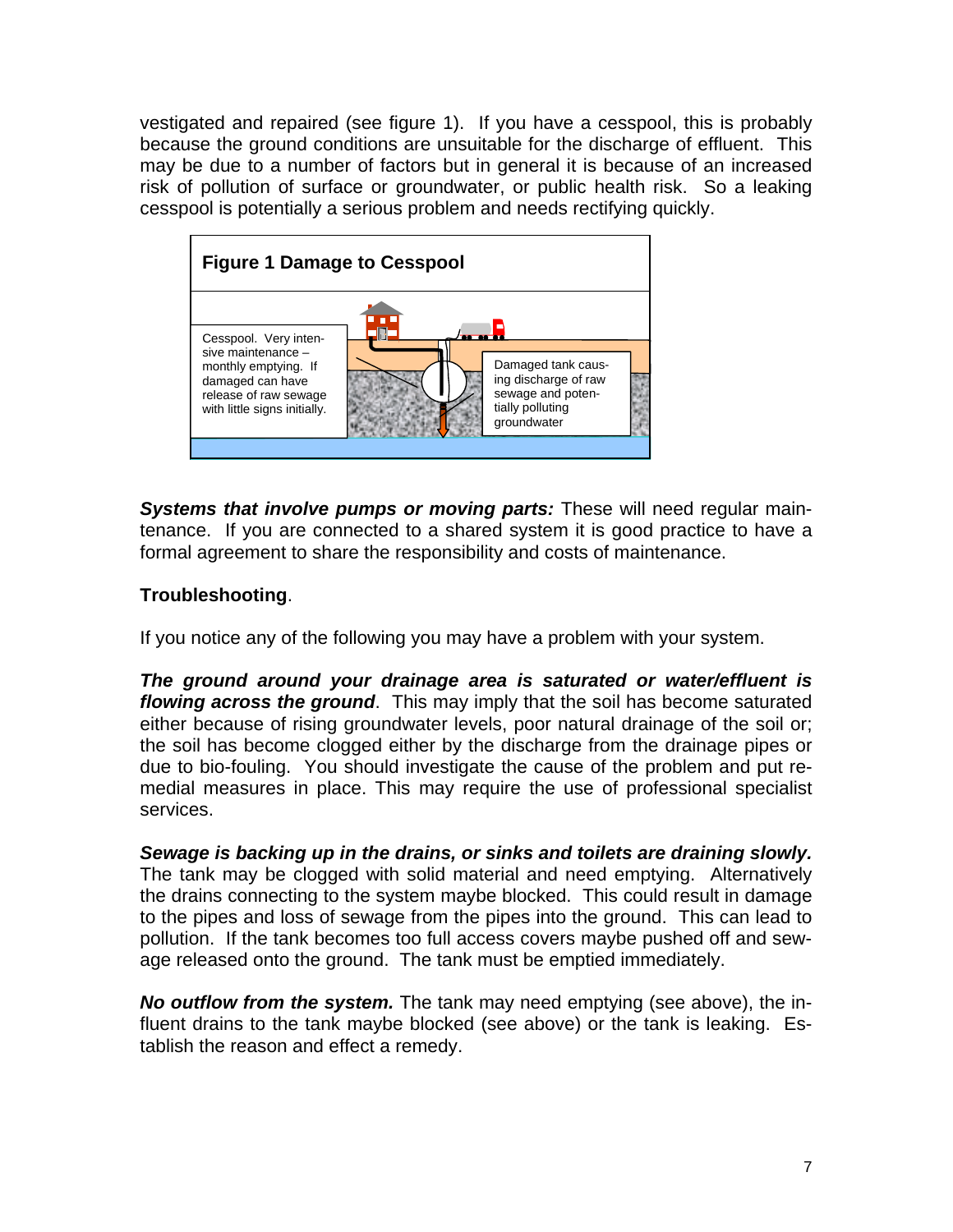vestigated and repaired (see figure 1). If you have a cesspool, this is probably because the ground conditions are unsuitable for the discharge of effluent. This may be due to a number of factors but in general it is because of an increased risk of pollution of surface or groundwater, or public health risk. So a leaking cesspool is potentially a serious problem and needs rectifying quickly.



*Systems that involve pumps or moving parts:* These will need regular maintenance. If you are connected to a shared system it is good practice to have a formal agreement to share the responsibility and costs of maintenance.

#### **Troubleshooting**.

If you notice any of the following you may have a problem with your system.

*The ground around your drainage area is saturated or water/effluent is flowing across the ground*. This may imply that the soil has become saturated either because of rising groundwater levels, poor natural drainage of the soil or; the soil has become clogged either by the discharge from the drainage pipes or due to bio-fouling. You should investigate the cause of the problem and put remedial measures in place. This may require the use of professional specialist services.

*Sewage is backing up in the drains, or sinks and toilets are draining slowly.* The tank may be clogged with solid material and need emptying. Alternatively the drains connecting to the system maybe blocked. This could result in damage to the pipes and loss of sewage from the pipes into the ground. This can lead to pollution. If the tank becomes too full access covers maybe pushed off and sewage released onto the ground. The tank must be emptied immediately.

*No outflow from the system.* The tank may need emptying (see above), the influent drains to the tank maybe blocked (see above) or the tank is leaking. Establish the reason and effect a remedy.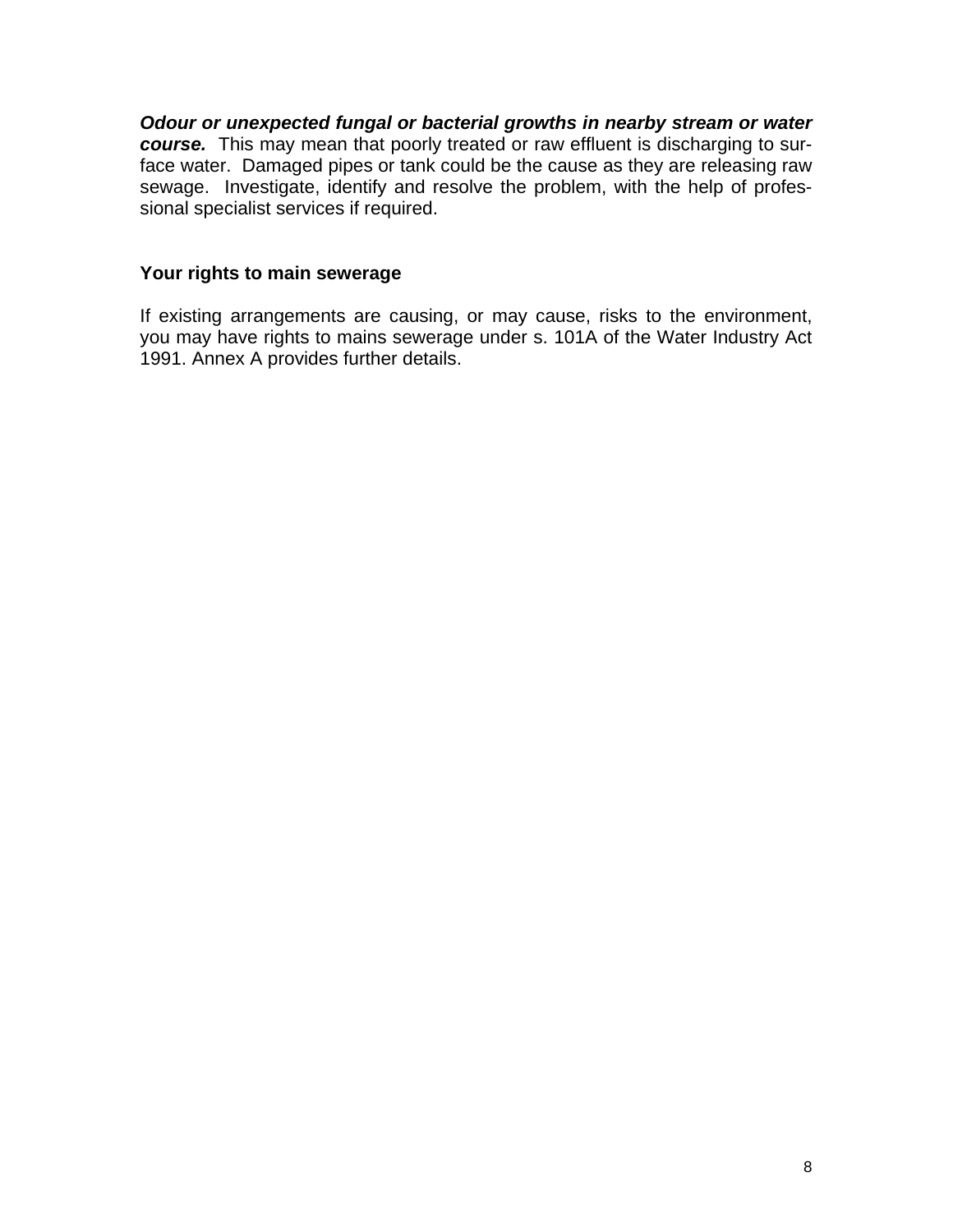*Odour or unexpected fungal or bacterial growths in nearby stream or water course.* This may mean that poorly treated or raw effluent is discharging to surface water. Damaged pipes or tank could be the cause as they are releasing raw sewage. Investigate, identify and resolve the problem, with the help of professional specialist services if required.

#### **Your rights to main sewerage**

If existing arrangements are causing, or may cause, risks to the environment, you may have rights to mains sewerage under s. 101A of the Water Industry Act 1991. Annex A provides further details.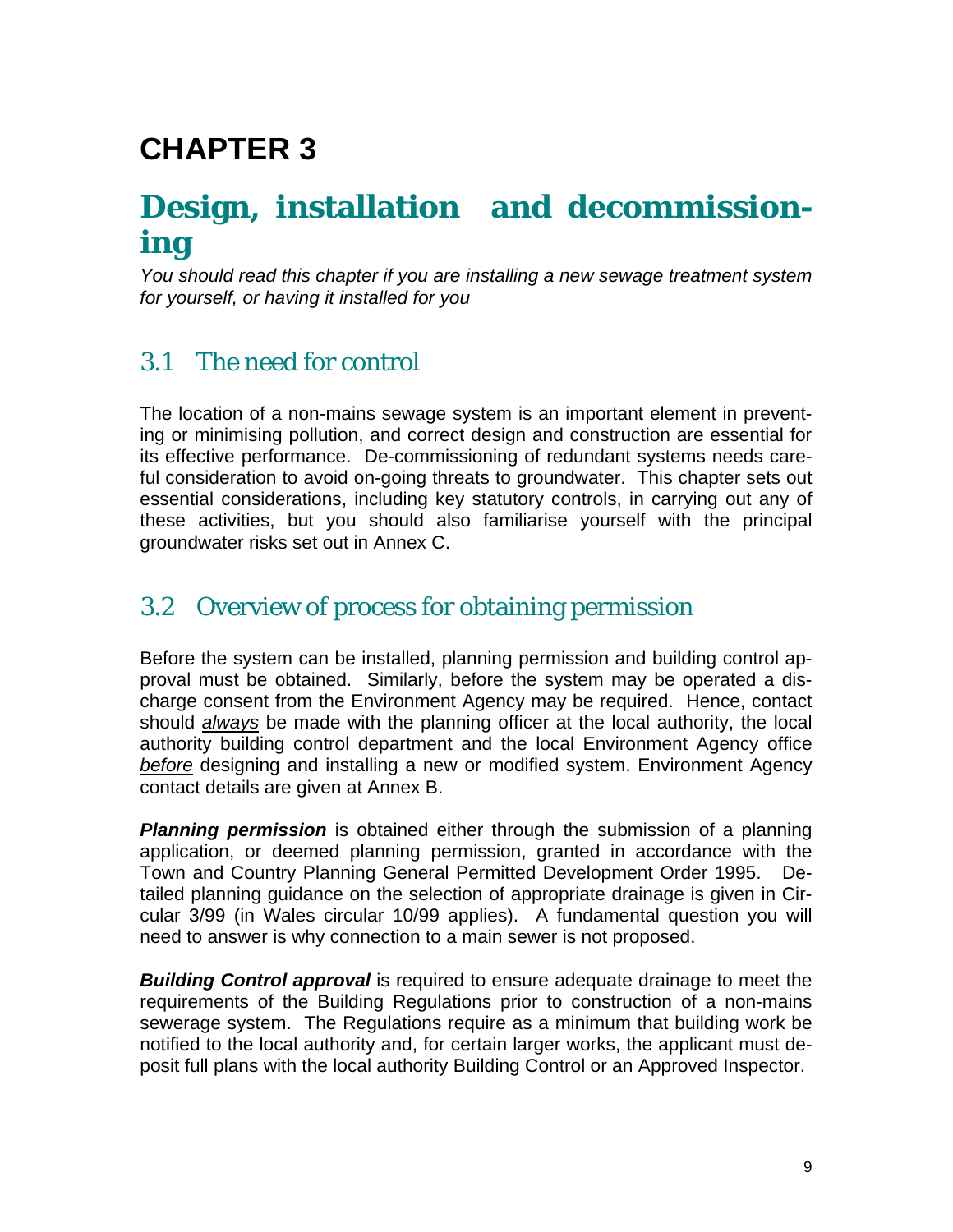## **CHAPTER 3**

## **Design, installation and decommissioning**

*You should read this chapter if you are installing a new sewage treatment system for yourself, or having it installed for you*

### 3.1 The need for control

The location of a non-mains sewage system is an important element in preventing or minimising pollution, and correct design and construction are essential for its effective performance. De-commissioning of redundant systems needs careful consideration to avoid on-going threats to groundwater. This chapter sets out essential considerations, including key statutory controls, in carrying out any of these activities, but you should also familiarise yourself with the principal groundwater risks set out in Annex C.

## 3.2 Overview of process for obtaining permission

Before the system can be installed, planning permission and building control approval must be obtained. Similarly, before the system may be operated a discharge consent from the Environment Agency may be required. Hence, contact should *always* be made with the planning officer at the local authority, the local authority building control department and the local Environment Agency office *before* designing and installing a new or modified system. Environment Agency contact details are given at Annex B.

*Planning permission* is obtained either through the submission of a planning application, or deemed planning permission, granted in accordance with the Town and Country Planning General Permitted Development Order 1995. Detailed planning guidance on the selection of appropriate drainage is given in Circular 3/99 (in Wales circular 10/99 applies). A fundamental question you will need to answer is why connection to a main sewer is not proposed.

*Building Control approval* is required to ensure adequate drainage to meet the requirements of the Building Regulations prior to construction of a non-mains sewerage system. The Regulations require as a minimum that building work be notified to the local authority and, for certain larger works, the applicant must deposit full plans with the local authority Building Control or an Approved Inspector.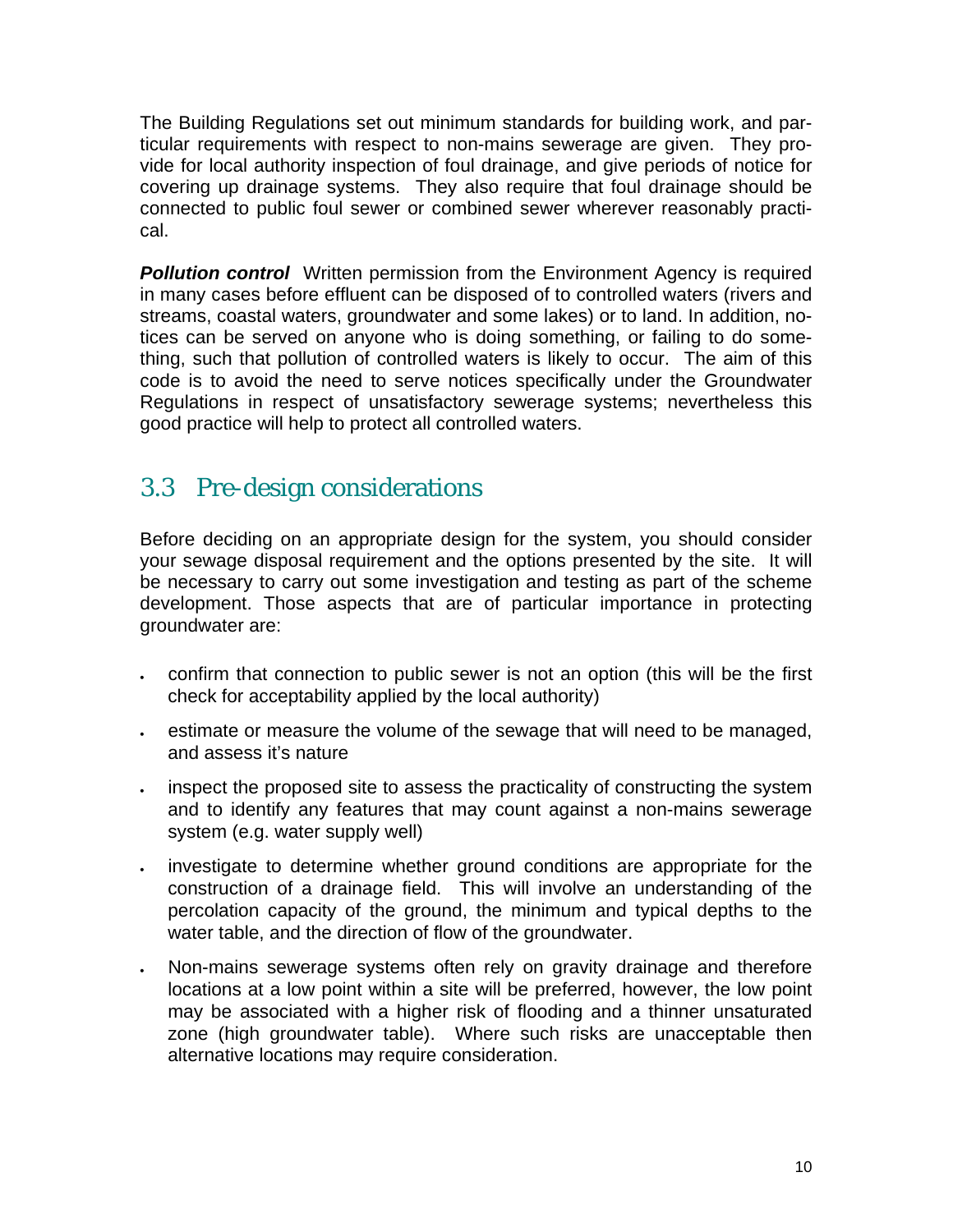The Building Regulations set out minimum standards for building work, and particular requirements with respect to non-mains sewerage are given. They provide for local authority inspection of foul drainage, and give periods of notice for covering up drainage systems. They also require that foul drainage should be connected to public foul sewer or combined sewer wherever reasonably practical.

**Pollution control** Written permission from the Environment Agency is required in many cases before effluent can be disposed of to controlled waters (rivers and streams, coastal waters, groundwater and some lakes) or to land. In addition, notices can be served on anyone who is doing something, or failing to do something, such that pollution of controlled waters is likely to occur. The aim of this code is to avoid the need to serve notices specifically under the Groundwater Regulations in respect of unsatisfactory sewerage systems; nevertheless this good practice will help to protect all controlled waters.

### 3.3 Pre-design considerations

Before deciding on an appropriate design for the system, you should consider your sewage disposal requirement and the options presented by the site. It will be necessary to carry out some investigation and testing as part of the scheme development. Those aspects that are of particular importance in protecting groundwater are:

- confirm that connection to public sewer is not an option (this will be the first check for acceptability applied by the local authority)
- estimate or measure the volume of the sewage that will need to be managed, and assess it's nature
- inspect the proposed site to assess the practicality of constructing the system and to identify any features that may count against a non-mains sewerage system (e.g. water supply well)
- investigate to determine whether ground conditions are appropriate for the construction of a drainage field. This will involve an understanding of the percolation capacity of the ground, the minimum and typical depths to the water table, and the direction of flow of the groundwater.
- Non-mains sewerage systems often rely on gravity drainage and therefore locations at a low point within a site will be preferred, however, the low point may be associated with a higher risk of flooding and a thinner unsaturated zone (high groundwater table). Where such risks are unacceptable then alternative locations may require consideration.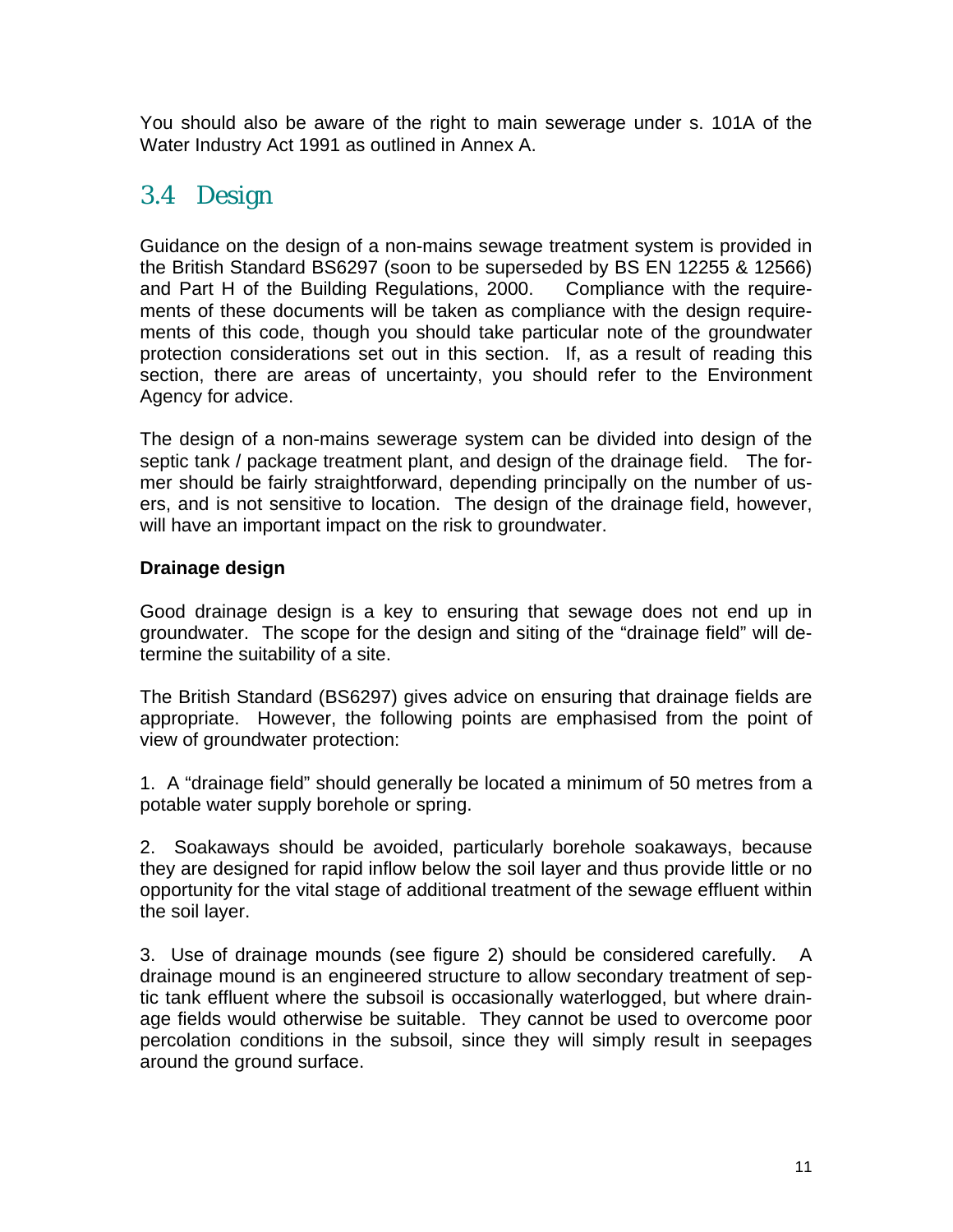You should also be aware of the right to main sewerage under s. 101A of the Water Industry Act 1991 as outlined in Annex A.

### 3.4 Design

Guidance on the design of a non-mains sewage treatment system is provided in the British Standard BS6297 (soon to be superseded by BS EN 12255 & 12566) and Part H of the Building Regulations, 2000. Compliance with the requirements of these documents will be taken as compliance with the design requirements of this code, though you should take particular note of the groundwater protection considerations set out in this section. If, as a result of reading this section, there are areas of uncertainty, you should refer to the Environment Agency for advice.

The design of a non-mains sewerage system can be divided into design of the septic tank / package treatment plant, and design of the drainage field. The former should be fairly straightforward, depending principally on the number of users, and is not sensitive to location. The design of the drainage field, however, will have an important impact on the risk to groundwater.

#### **Drainage design**

Good drainage design is a key to ensuring that sewage does not end up in groundwater. The scope for the design and siting of the "drainage field" will determine the suitability of a site.

The British Standard (BS6297) gives advice on ensuring that drainage fields are appropriate. However, the following points are emphasised from the point of view of groundwater protection:

1. A "drainage field" should generally be located a minimum of 50 metres from a potable water supply borehole or spring.

2. Soakaways should be avoided, particularly borehole soakaways, because they are designed for rapid inflow below the soil layer and thus provide little or no opportunity for the vital stage of additional treatment of the sewage effluent within the soil layer.

3. Use of drainage mounds (see figure 2) should be considered carefully.A drainage mound is an engineered structure to allow secondary treatment of septic tank effluent where the subsoil is occasionally waterlogged, but where drainage fields would otherwise be suitable. They cannot be used to overcome poor percolation conditions in the subsoil, since they will simply result in seepages around the ground surface.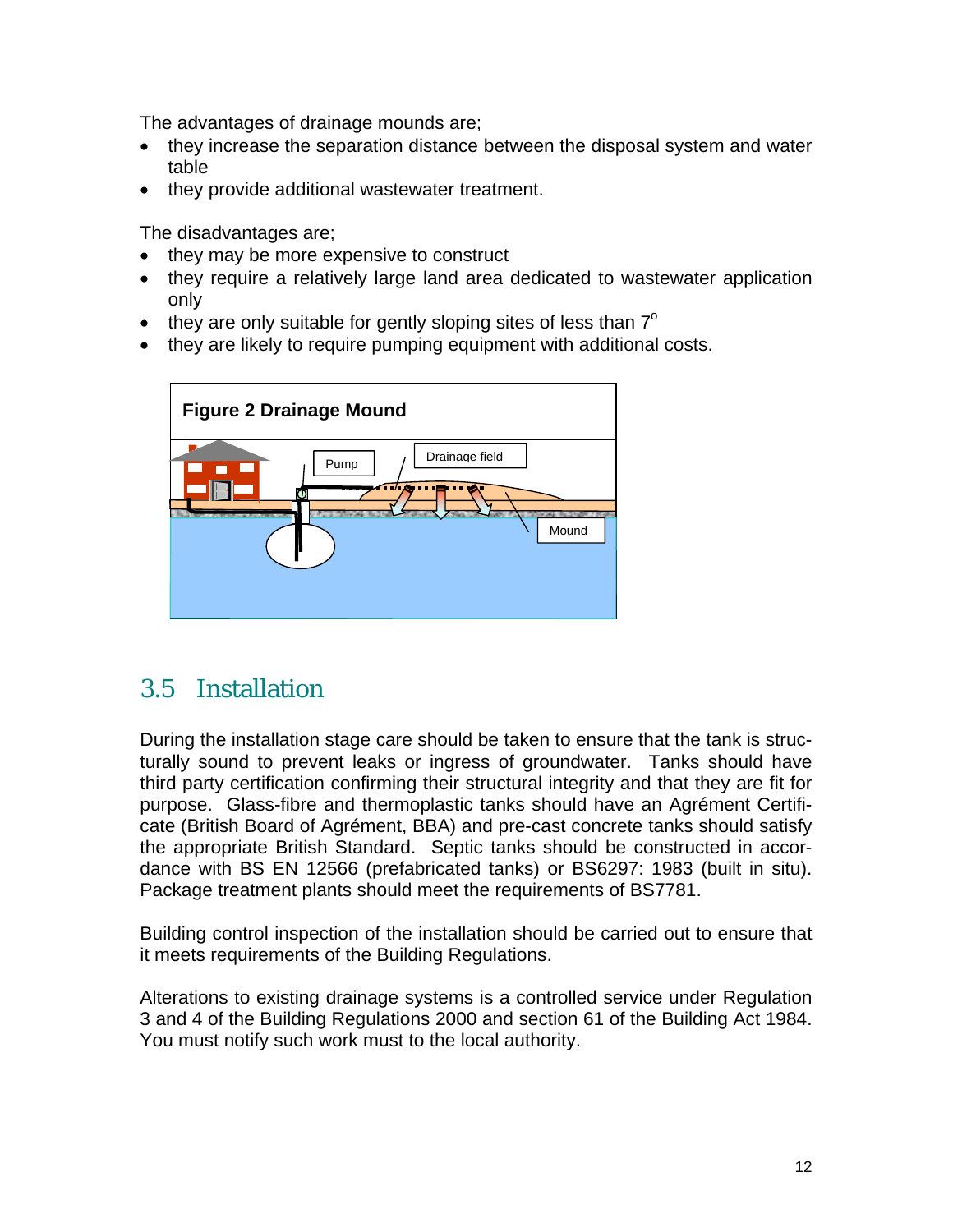The advantages of drainage mounds are;

- they increase the separation distance between the disposal system and water table
- they provide additional wastewater treatment.

The disadvantages are;

- they may be more expensive to construct
- they require a relatively large land area dedicated to wastewater application only
- they are only suitable for gently sloping sites of less than  $7^\circ$
- they are likely to require pumping equipment with additional costs.



### 3.5 Installation

During the installation stage care should be taken to ensure that the tank is structurally sound to prevent leaks or ingress of groundwater. Tanks should have third party certification confirming their structural integrity and that they are fit for purpose. Glass-fibre and thermoplastic tanks should have an Agrément Certificate (British Board of Agrément, BBA) and pre-cast concrete tanks should satisfy the appropriate British Standard. Septic tanks should be constructed in accordance with BS EN 12566 (prefabricated tanks) or BS6297: 1983 (built in situ). Package treatment plants should meet the requirements of BS7781.

Building control inspection of the installation should be carried out to ensure that it meets requirements of the Building Regulations.

Alterations to existing drainage systems is a controlled service under Regulation 3 and 4 of the Building Regulations 2000 and section 61 of the Building Act 1984. You must notify such work must to the local authority.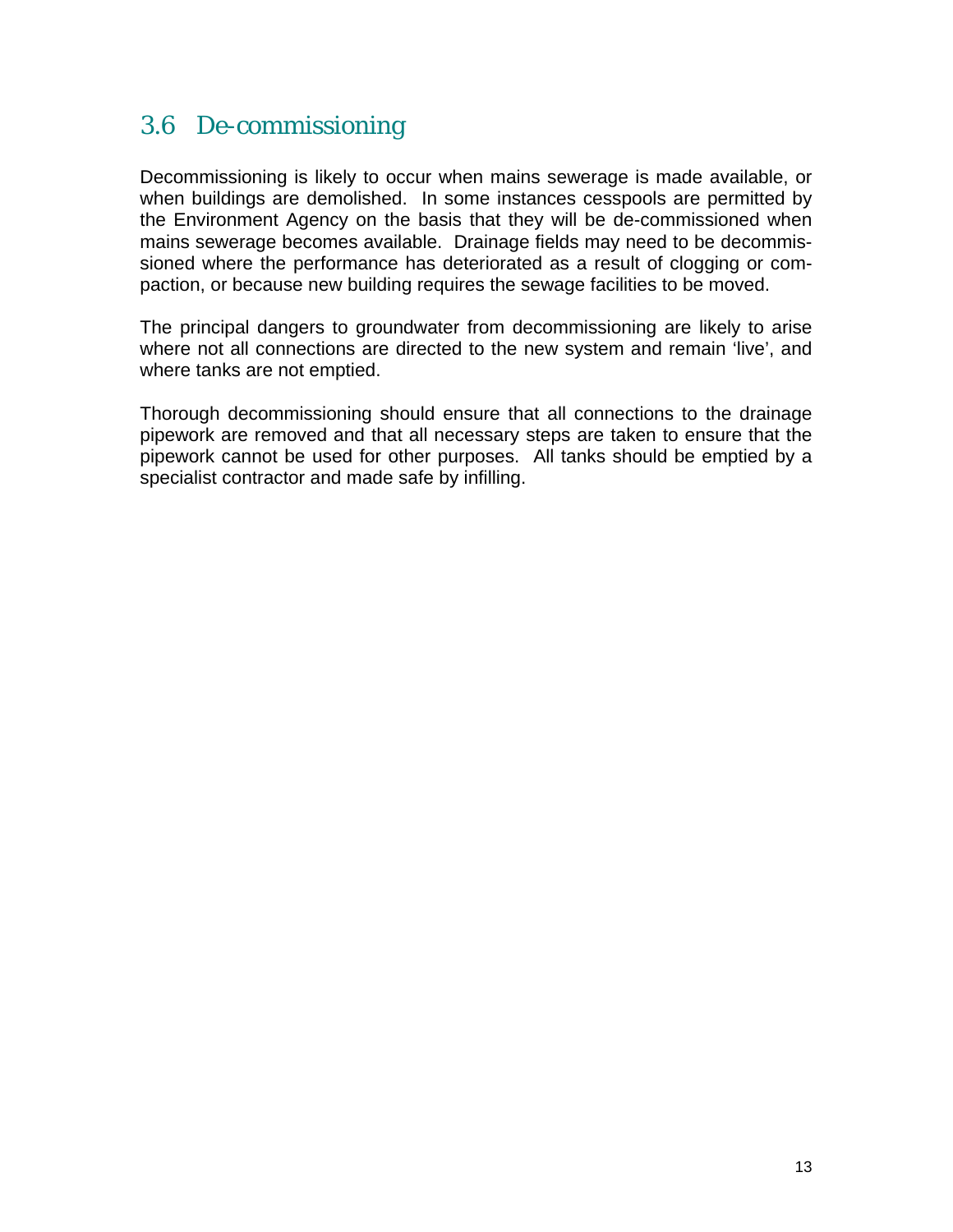### 3.6 De-commissioning

Decommissioning is likely to occur when mains sewerage is made available, or when buildings are demolished. In some instances cesspools are permitted by the Environment Agency on the basis that they will be de-commissioned when mains sewerage becomes available. Drainage fields may need to be decommissioned where the performance has deteriorated as a result of clogging or compaction, or because new building requires the sewage facilities to be moved.

The principal dangers to groundwater from decommissioning are likely to arise where not all connections are directed to the new system and remain 'live', and where tanks are not emptied.

Thorough decommissioning should ensure that all connections to the drainage pipework are removed and that all necessary steps are taken to ensure that the pipework cannot be used for other purposes. All tanks should be emptied by a specialist contractor and made safe by infilling.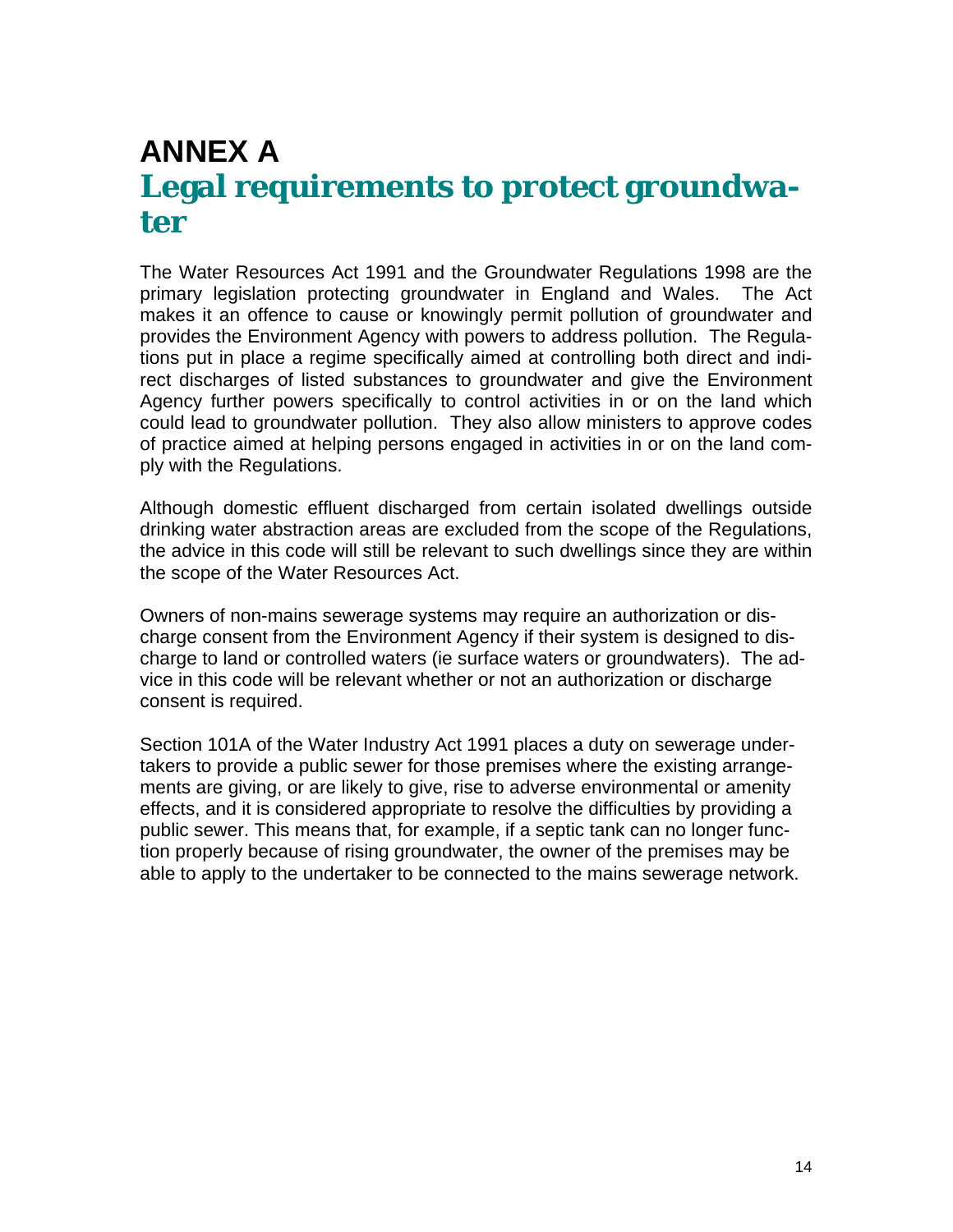## **ANNEX A Legal requirements to protect groundwater**

The Water Resources Act 1991 and the Groundwater Regulations 1998 are the primary legislation protecting groundwater in England and Wales. The Act makes it an offence to cause or knowingly permit pollution of groundwater and provides the Environment Agency with powers to address pollution. The Regulations put in place a regime specifically aimed at controlling both direct and indirect discharges of listed substances to groundwater and give the Environment Agency further powers specifically to control activities in or on the land which could lead to groundwater pollution. They also allow ministers to approve codes of practice aimed at helping persons engaged in activities in or on the land comply with the Regulations.

Although domestic effluent discharged from certain isolated dwellings outside drinking water abstraction areas are excluded from the scope of the Regulations, the advice in this code will still be relevant to such dwellings since they are within the scope of the Water Resources Act.

Owners of non-mains sewerage systems may require an authorization or discharge consent from the Environment Agency if their system is designed to discharge to land or controlled waters (ie surface waters or groundwaters). The advice in this code will be relevant whether or not an authorization or discharge consent is required.

Section 101A of the Water Industry Act 1991 places a duty on sewerage undertakers to provide a public sewer for those premises where the existing arrangements are giving, or are likely to give, rise to adverse environmental or amenity effects, and it is considered appropriate to resolve the difficulties by providing a public sewer. This means that, for example, if a septic tank can no longer function properly because of rising groundwater, the owner of the premises may be able to apply to the undertaker to be connected to the mains sewerage network.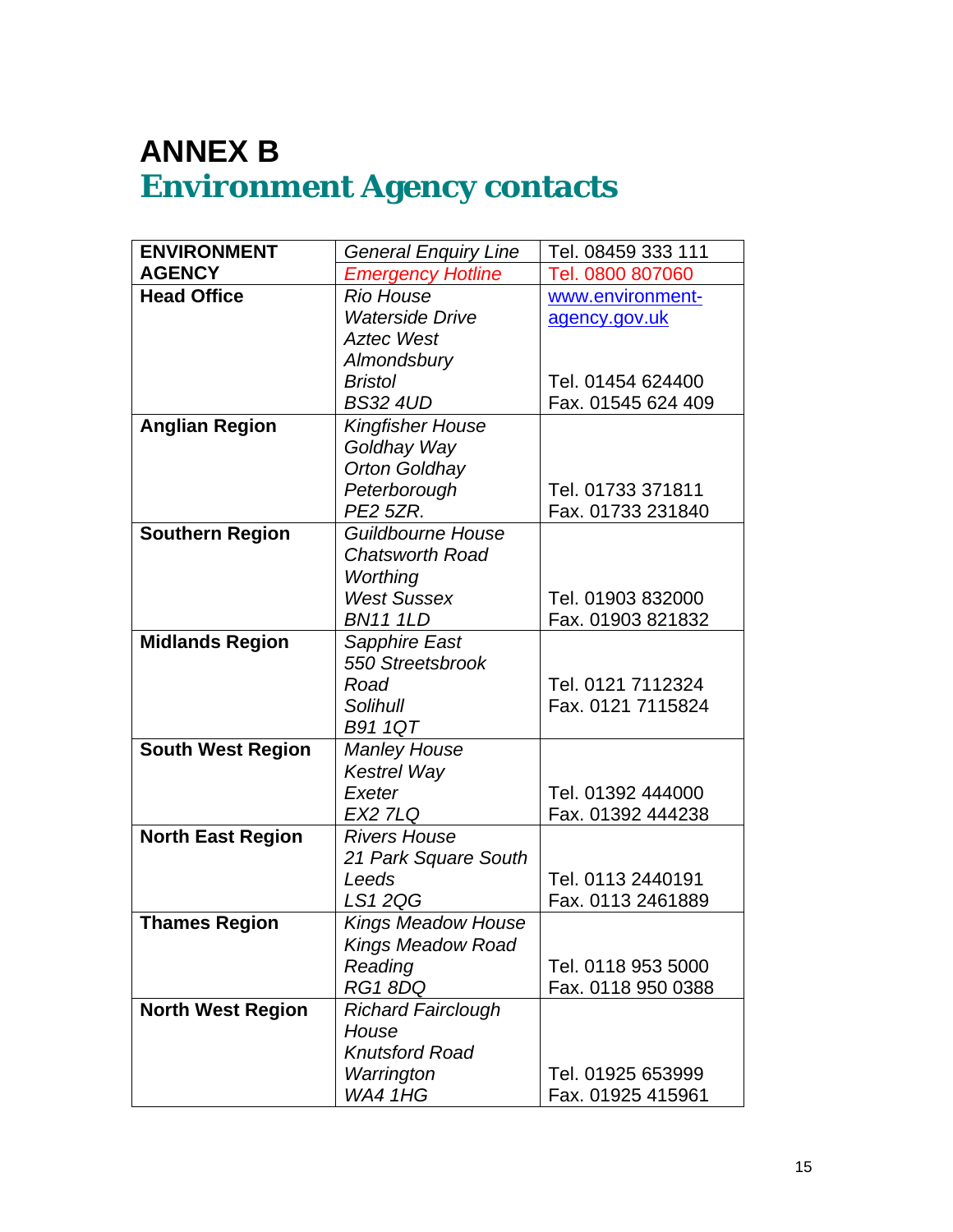## **ANNEX B Environment Agency contacts**

| <b>ENVIRONMENT</b>       | <b>General Enquiry Line</b> | Tel. 08459 333 111 |
|--------------------------|-----------------------------|--------------------|
| <b>AGENCY</b>            | <b>Emergency Hotline</b>    | Tel. 0800 807060   |
| <b>Head Office</b>       | <b>Rio House</b>            | www.environment-   |
|                          | <b>Waterside Drive</b>      | agency.gov.uk      |
|                          | <b>Aztec West</b>           |                    |
|                          | Almondsbury                 |                    |
|                          | <b>Bristol</b>              | Tel. 01454 624400  |
|                          | <b>BS32 4UD</b>             | Fax. 01545 624 409 |
| <b>Anglian Region</b>    | <b>Kingfisher House</b>     |                    |
|                          | Goldhay Way                 |                    |
|                          | <b>Orton Goldhay</b>        |                    |
|                          | Peterborough                | Tel. 01733 371811  |
|                          | <b>PE2 5ZR.</b>             | Fax. 01733 231840  |
| <b>Southern Region</b>   | Guildbourne House           |                    |
|                          | <b>Chatsworth Road</b>      |                    |
|                          | Worthing                    |                    |
|                          | <b>West Sussex</b>          | Tel. 01903 832000  |
|                          | <b>BN11 1LD</b>             | Fax. 01903 821832  |
| <b>Midlands Region</b>   | Sapphire East               |                    |
|                          | 550 Streetsbrook            |                    |
|                          | Road                        | Tel. 0121 7112324  |
|                          | Solihull                    | Fax. 0121 7115824  |
|                          | <b>B91 1QT</b>              |                    |
| <b>South West Region</b> | <b>Manley House</b>         |                    |
|                          | <b>Kestrel Way</b>          |                    |
|                          | Exeter                      | Tel. 01392 444000  |
|                          | <b>EX2 7LQ</b>              | Fax. 01392 444238  |
| <b>North East Region</b> | <b>Rivers House</b>         |                    |
|                          | 21 Park Square South        |                    |
|                          | Leeds                       | Tel. 0113 2440191  |
|                          | LS12QG                      | Fax. 0113 2461889  |
| <b>Thames Region</b>     | <b>Kings Meadow House</b>   |                    |
|                          | <b>Kings Meadow Road</b>    |                    |
|                          | Reading                     | Tel. 0118 953 5000 |
|                          | RG18DQ                      | Fax. 0118 950 0388 |
| <b>North West Region</b> | <b>Richard Fairclough</b>   |                    |
|                          | House                       |                    |
|                          | <b>Knutsford Road</b>       |                    |
|                          | Warrington                  | Tel. 01925 653999  |
|                          | <b>WA4 1HG</b>              | Fax. 01925 415961  |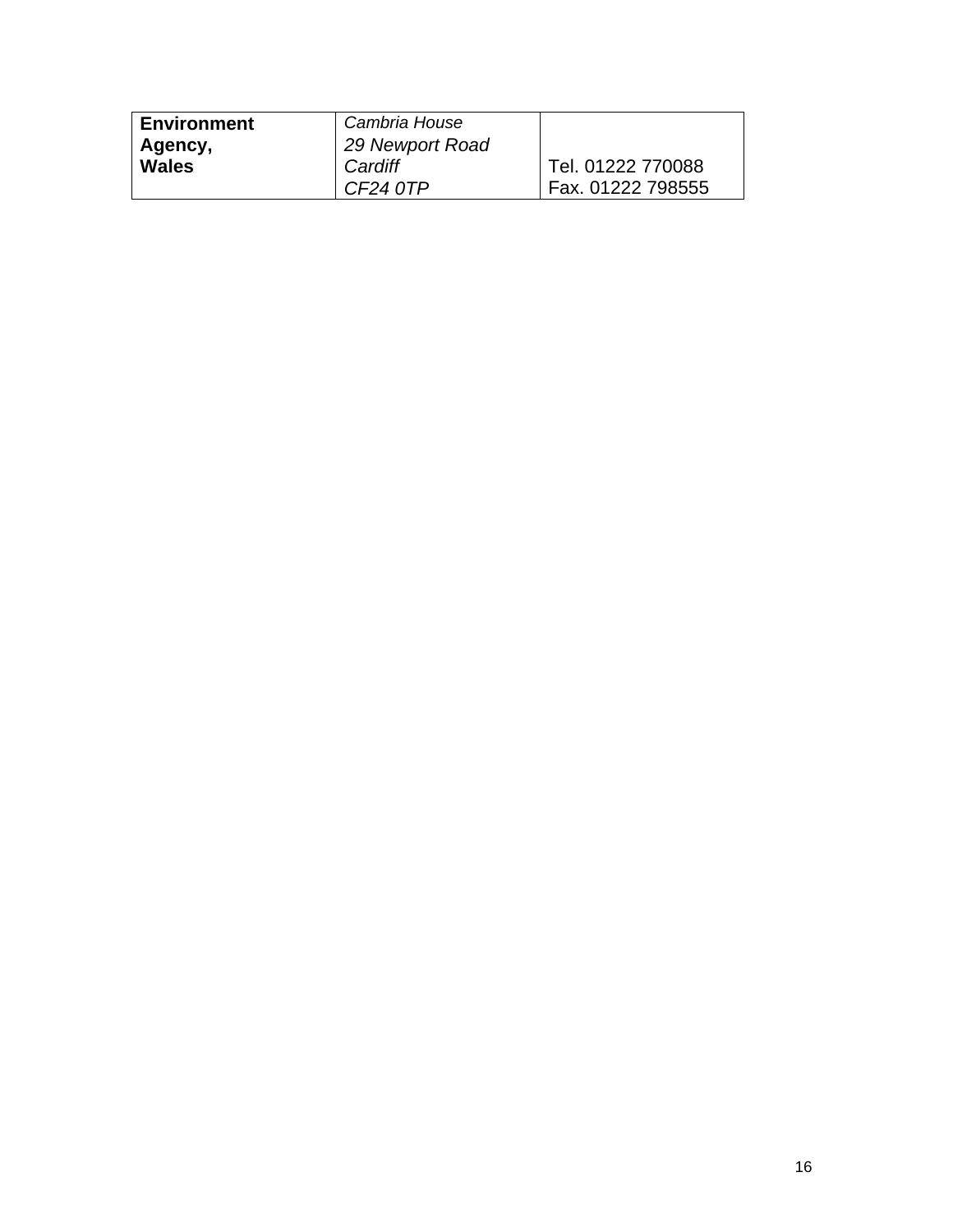| Environment | Cambria House   |                   |
|-------------|-----------------|-------------------|
| Agency,     | 29 Newport Road |                   |
| Wales       | Cardiff         | Tel. 01222 770088 |
|             | CF24 0TP        | Fax. 01222 798555 |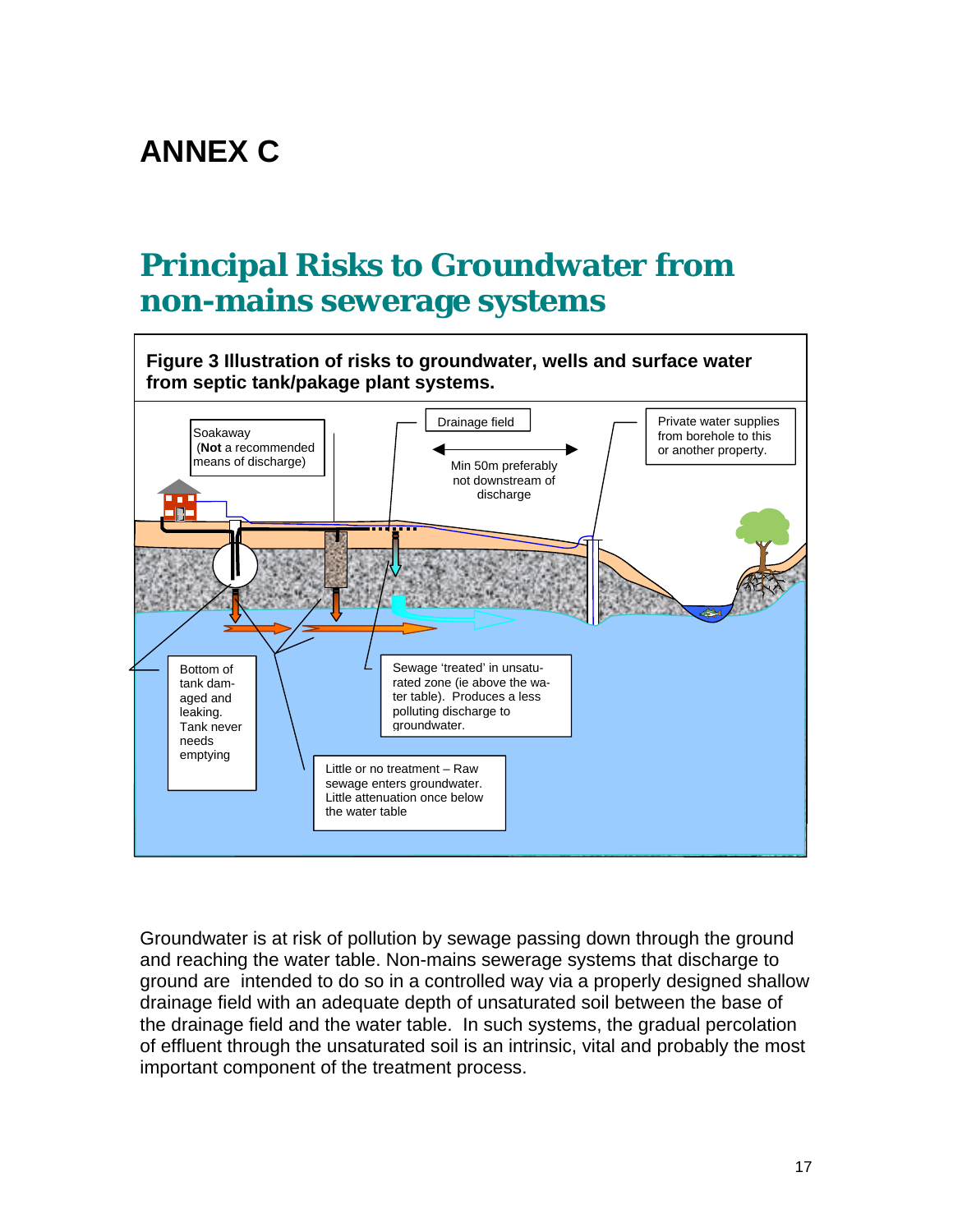## **ANNEX C**

## **Principal Risks to Groundwater from non-mains sewerage systems**



Groundwater is at risk of pollution by sewage passing down through the ground and reaching the water table. Non-mains sewerage systems that discharge to ground are intended to do so in a controlled way via a properly designed shallow drainage field with an adequate depth of unsaturated soil between the base of the drainage field and the water table. In such systems, the gradual percolation of effluent through the unsaturated soil is an intrinsic, vital and probably the most important component of the treatment process.